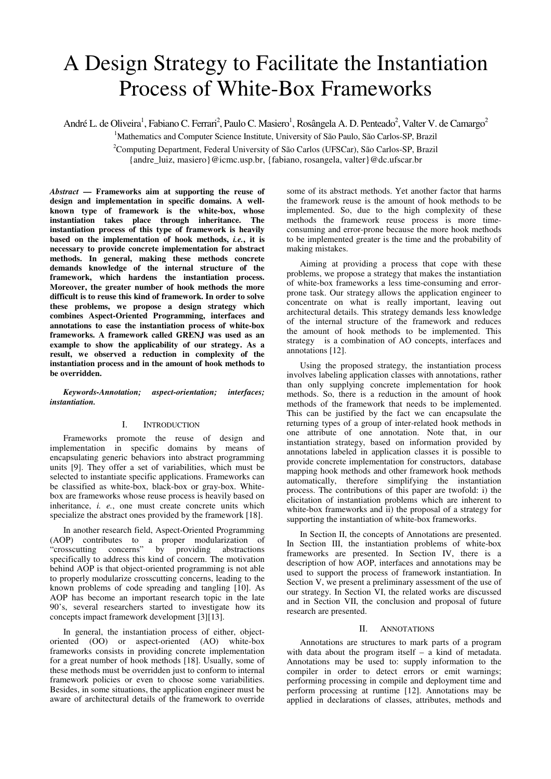# A Design Strategy to Facilitate the Instantiation Process of White-Box Frameworks

André L. de Oliveira<sup>1</sup>, Fabiano C. Ferrari<sup>2</sup>, Paulo C. Masiero<sup>1</sup>, Rosângela A. D. Penteado<sup>2</sup>, Valter V. de Camargo<sup>2</sup>

<sup>1</sup>Mathematics and Computer Science Institute, University of São Paulo, São Carlos-SP, Brazil

<sup>2</sup>Computing Department, Federal University of São Carlos (UFSCar), São Carlos-SP, Brazil {andre\_luiz, masiero}@icmc.usp.br, {fabiano, rosangela, valter}@dc.ufscar.br

*Abstract* **— Frameworks aim at supporting the reuse of design and implementation in specific domains. A wellknown type of framework is the white-box, whose instantiation takes place through inheritance. The instantiation process of this type of framework is heavily based on the implementation of hook methods,** *i.e.***, it is necessary to provide concrete implementation for abstract methods. In general, making these methods concrete demands knowledge of the internal structure of the framework, which hardens the instantiation process. Moreover, the greater number of hook methods the more difficult is to reuse this kind of framework. In order to solve these problems, we propose a design strategy which combines Aspect-Oriented Programming, interfaces and annotations to ease the instantiation process of white-box frameworks. A framework called GRENJ was used as an example to show the applicability of our strategy. As a result, we observed a reduction in complexity of the instantiation process and in the amount of hook methods to be overridden.** 

*Keywords-Annotation; aspect-orientation; interfaces; instantiation.* 

# I. INTRODUCTION

Frameworks promote the reuse of design and implementation in specific domains by means of encapsulating generic behaviors into abstract programming units [9]. They offer a set of variabilities, which must be selected to instantiate specific applications. Frameworks can be classified as white-box, black-box or gray-box. Whitebox are frameworks whose reuse process is heavily based on inheritance, *i. e.*, one must create concrete units which specialize the abstract ones provided by the framework [18].

In another research field, Aspect-Oriented Programming (AOP) contributes to a proper modularization of "crosscutting concerns" by providing abstractions specifically to address this kind of concern. The motivation behind AOP is that object-oriented programming is not able to properly modularize crosscutting concerns, leading to the known problems of code spreading and tangling [10]. As AOP has become an important research topic in the late 90's, several researchers started to investigate how its concepts impact framework development [3][13].

In general, the instantiation process of either, objectoriented (OO) or aspect-oriented (AO) white-box frameworks consists in providing concrete implementation for a great number of hook methods [18]. Usually, some of these methods must be overridden just to conform to internal framework policies or even to choose some variabilities. Besides, in some situations, the application engineer must be aware of architectural details of the framework to override some of its abstract methods. Yet another factor that harms the framework reuse is the amount of hook methods to be implemented. So, due to the high complexity of these methods the framework reuse process is more timeconsuming and error-prone because the more hook methods to be implemented greater is the time and the probability of making mistakes.

Aiming at providing a process that cope with these problems, we propose a strategy that makes the instantiation of white-box frameworks a less time-consuming and errorprone task. Our strategy allows the application engineer to concentrate on what is really important, leaving out architectural details. This strategy demands less knowledge of the internal structure of the framework and reduces the amount of hook methods to be implemented. This strategy is a combination of AO concepts, interfaces and annotations [12].

Using the proposed strategy, the instantiation process involves labeling application classes with annotations, rather than only supplying concrete implementation for hook methods. So, there is a reduction in the amount of hook methods of the framework that needs to be implemented. This can be justified by the fact we can encapsulate the returning types of a group of inter-related hook methods in one attribute of one annotation. Note that, in our instantiation strategy, based on information provided by annotations labeled in application classes it is possible to provide concrete implementation for constructors, database mapping hook methods and other framework hook methods automatically, therefore simplifying the instantiation process. The contributions of this paper are twofold: i) the elicitation of instantiation problems which are inherent to white-box frameworks and ii) the proposal of a strategy for supporting the instantiation of white-box frameworks.

In Section II, the concepts of Annotations are presented. In Section III, the instantiation problems of white-box frameworks are presented. In Section IV, there is a description of how AOP, interfaces and annotations may be used to support the process of framework instantiation. In Section V, we present a preliminary assessment of the use of our strategy. In Section VI, the related works are discussed and in Section VII, the conclusion and proposal of future research are presented.

# II. ANNOTATIONS

Annotations are structures to mark parts of a program with data about the program itself  $-$  a kind of metadata. Annotations may be used to: supply information to the compiler in order to detect errors or emit warnings; performing processing in compile and deployment time and perform processing at runtime [12]. Annotations may be applied in declarations of classes, attributes, methods and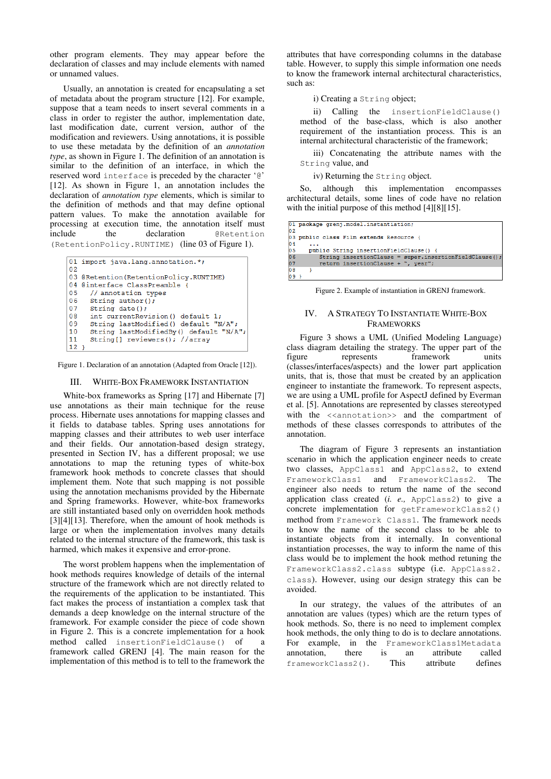other program elements. They may appear before the declaration of classes and may include elements with named or unnamed values.

Usually, an annotation is created for encapsulating a set of metadata about the program structure [12]. For example, suppose that a team needs to insert several comments in a class in order to register the author, implementation date, last modification date, current version, author of the modification and reviewers. Using annotations, it is possible to use these metadata by the definition of an *annotation type*, as shown in Figure 1. The definition of an annotation is similar to the definition of an interface, in which the reserved word interface is preceded by the character '@' [12]. As shown in Figure 1, an annotation includes the declaration of *annotation type* elements, which is similar to the definition of methods and that may define optional pattern values. To make the annotation available for processing at execution time, the annotation itself must<br>include the declaration  $\theta$ Retention include the declaration @Retention (RetentionPolicy.RUNTIME) (line 03 of Figure 1).

```
01 import java.lang.annotation.*;
0203 @Retention(RetentionPolicy.RUNTIME)
04 @interface ClassPreamble {
05
     // annotation types
06
     String \text{author}();
07
     String date();
08
     int currentRevision() default 1;
     String lastModified() default "N/A";
09
10String lastModifiedBy() default "N/A";
11
     String[] reviewers(); //array
12\,
```
Figure 1. Declaration of an annotation (Adapted from Oracle [12]).

### III. WHITE-BOX FRAMEWORK INSTANTIATION

White-box frameworks as Spring [17] and Hibernate [7] use annotations as their main technique for the reuse process. Hibernate uses annotations for mapping classes and it fields to database tables. Spring uses annotations for mapping classes and their attributes to web user interface and their fields. Our annotation-based design strategy, presented in Section IV, has a different proposal; we use annotations to map the retuning types of white-box framework hook methods to concrete classes that should implement them. Note that such mapping is not possible using the annotation mechanisms provided by the Hibernate and Spring frameworks. However, white-box frameworks are still instantiated based only on overridden hook methods [3][4][13]. Therefore, when the amount of hook methods is large or when the implementation involves many details related to the internal structure of the framework, this task is harmed, which makes it expensive and error-prone.

The worst problem happens when the implementation of hook methods requires knowledge of details of the internal structure of the framework which are not directly related to the requirements of the application to be instantiated. This fact makes the process of instantiation a complex task that demands a deep knowledge on the internal structure of the framework. For example consider the piece of code shown in Figure 2. This is a concrete implementation for a hook method called insertionFieldClause() of a framework called GRENJ [4]. The main reason for the implementation of this method is to tell to the framework the attributes that have corresponding columns in the database table. However, to supply this simple information one needs to know the framework internal architectural characteristics, such as:

i) Creating a String object;

ii) Calling the insertionFieldClause() method of the base-class, which is also another requirement of the instantiation process. This is an internal architectural characteristic of the framework;

iii) Concatenating the attribute names with the String value, and

iv) Returning the String object.

So, although this implementation encompasses architectural details, some lines of code have no relation with the initial purpose of this method [4][8][15].

|    | 01 package greni.model.instantiation;  |                                                        |
|----|----------------------------------------|--------------------------------------------------------|
| 02 |                                        |                                                        |
| 03 | public class Film extends Resource {   |                                                        |
| 04 | .                                      |                                                        |
| 05 | public String insertionFieldClause() { |                                                        |
| 06 |                                        | String insertionClause = super.insertionFieldClause(); |
| 07 | return insertionClause + ", year";     |                                                        |
| 08 |                                        |                                                        |
| 09 |                                        |                                                        |

Figure 2. Example of instantiation in GRENJ framework.

# IV. A STRATEGY TO INSTANTIATE WHITE-BOX FRAMEWORKS

Figure 3 shows a UML (Unified Modeling Language) class diagram detailing the strategy. The upper part of the figure represents framework units (classes/interfaces/aspects) and the lower part application units, that is, those that must be created by an application engineer to instantiate the framework. To represent aspects, we are using a UML profile for AspectJ defined by Everman et al. [5]. Annotations are represented by classes stereotyped with the <<annotation>> and the compartment of methods of these classes corresponds to attributes of the annotation.

The diagram of Figure 3 represents an instantiation scenario in which the application engineer needs to create two classes, AppClass1 and AppClass2, to extend FrameworkClass1 and FrameworkClass2. The engineer also needs to return the name of the second application class created (*i. e.,* AppClass2) to give a concrete implementation for getFrameworkClass2() method from Framework Class1. The framework needs to know the name of the second class to be able to instantiate objects from it internally. In conventional instantiation processes, the way to inform the name of this class would be to implement the hook method retuning the FrameworkClass2.class subtype (i.e. AppClass2. class). However, using our design strategy this can be avoided.

In our strategy, the values of the attributes of an annotation are values (types) which are the return types of hook methods. So, there is no need to implement complex hook methods, the only thing to do is to declare annotations. For example, in the FrameworkClass1Metadata<br>annotation, there is an attribute called annotation, there frameworkClass2(). This attribute defines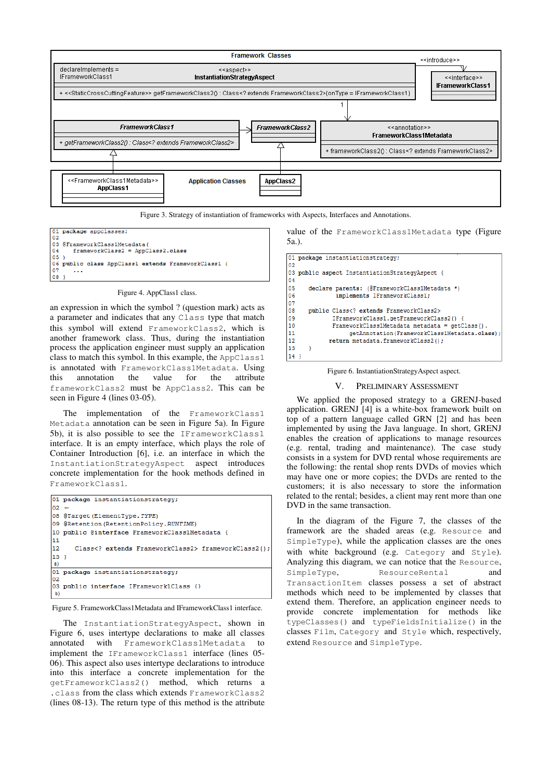

Figure 3. Strategy of instantiation of frameworks with Aspects, Interfaces and Annotations.

01 package appclasses:  $02$ 03 @FrameworkClass1Metadata(  $frameworkClass2 = AppClass2.class$  $04$ 06 public class AppClass1 extends FrameworkClass1 {  $07$  $\sim$   $\sim$  $08$  }

#### Figure 4. AppClass1 class.

an expression in which the symbol ? (question mark) acts as a parameter and indicates that any Class type that match this symbol will extend FrameworkClass2, which is another framework class. Thus, during the instantiation process the application engineer must supply an application class to match this symbol. In this example, the AppClass1 is annotated with FrameworkClass1Metadata. Using this annotation the value for the attribute frameworkClass2 must be AppClass2. This can be seen in Figure 4 (lines 03-05).

The implementation of the FrameworkClass1 Metadata annotation can be seen in Figure 5a). In Figure 5b), it is also possible to see the IFrameworkClass1 interface. It is an empty interface, which plays the role of Container Introduction [6], i.e. an interface in which the InstantiationStrategyAspect aspect introduces concrete implementation for the hook methods defined in FrameworkClass1.

|        | 01 package instantiationstrategy;                |  |  |  |  |  |  |
|--------|--------------------------------------------------|--|--|--|--|--|--|
| 02     | $\cdots$                                         |  |  |  |  |  |  |
|        | 08 @Target(ElementType.TYPE)                     |  |  |  |  |  |  |
|        | 09 @Retention (RetentionPolicy.RUNTIME)          |  |  |  |  |  |  |
|        | 10 public @interface FrameworkClass1Metadata {   |  |  |  |  |  |  |
| 11     |                                                  |  |  |  |  |  |  |
| 12     | Class extends FrameworkClass2 frameworkClass2(); |  |  |  |  |  |  |
| $13$ } |                                                  |  |  |  |  |  |  |
| a)     |                                                  |  |  |  |  |  |  |
|        | 01 package instantiationstrategy;                |  |  |  |  |  |  |
| 02     |                                                  |  |  |  |  |  |  |
|        | 03 public interface IFramework1Class {}          |  |  |  |  |  |  |
| b)     |                                                  |  |  |  |  |  |  |

Figure 5. FrameworkClass1Metadata and IFrameworkClass1 interface.

The InstantiationStrategyAspect, shown in Figure 6, uses intertype declarations to make all classes annotated with FrameworkClass1Metadata to implement the IFrameworkClass1 interface (lines 05-06). This aspect also uses intertype declarations to introduce into this interface a concrete implementation for the getFrameworkClass2() method, which returns a .class from the class which extends FrameworkClass2 (lines 08-13). The return type of this method is the attribute value of the FrameworkClass1Metadata type (Figure 5a.).

|    | 01 package instantiationstrategy;                  |
|----|----------------------------------------------------|
| 02 |                                                    |
| 03 | public aspect InstantiationStrategyAspect {        |
| 04 |                                                    |
| 05 | declare parents: (@FrameworkClass1Metadata *)      |
| 06 | implements IFrameworkClass1;                       |
| 07 |                                                    |
| 08 | public Class extends FrameworkClass2               |
| 09 | IFrameworkClass1.getFrameworkClass2() {            |
| 10 | $FrameworkClass1Metaddata metalata = getClass()$ . |
| 11 | getAnnotation(FrameworkClass1Metadata.class);      |
| 12 | return metadata.frameworkClass2();                 |
| 13 |                                                    |
| 14 |                                                    |
|    |                                                    |

Figure 6. InstantiationStrategyAspect aspect.

#### V. PRELIMINARY ASSESSMENT

We applied the proposed strategy to a GRENJ-based application. GRENJ [4] is a white-box framework built on top of a pattern language called GRN [2] and has been implemented by using the Java language. In short, GRENJ enables the creation of applications to manage resources (e.g. rental, trading and maintenance). The case study consists in a system for DVD rental whose requirements are the following: the rental shop rents DVDs of movies which may have one or more copies; the DVDs are rented to the customers; it is also necessary to store the information related to the rental; besides, a client may rent more than one DVD in the same transaction.

In the diagram of the Figure 7, the classes of the framework are the shaded areas (e.g. Resource and SimpleType), while the application classes are the ones with white background (e.g. Category and Style). Analyzing this diagram, we can notice that the Resource, SimpleType, ResourceRental and TransactionItem classes possess a set of abstract methods which need to be implemented by classes that extend them. Therefore, an application engineer needs to provide concrete implementation for methods like typeClasses() and typeFieldsInitialize() in the classes Film, Category and Style which, respectively, extend Resource and SimpleType.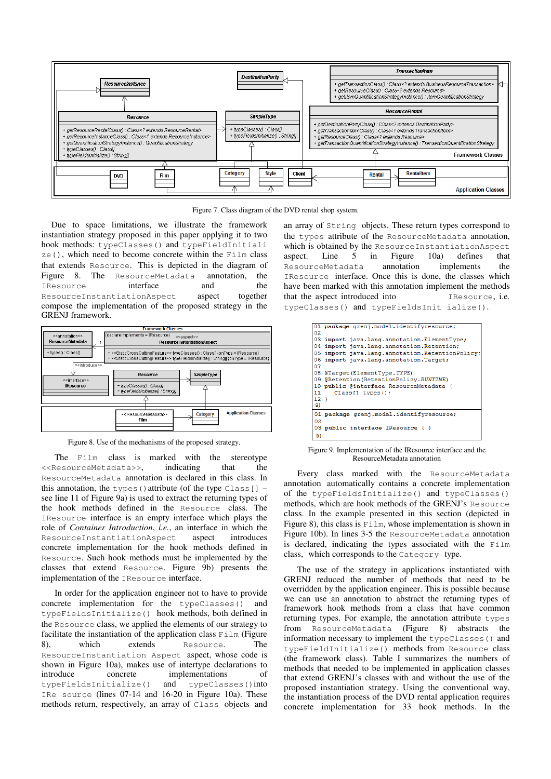

Figure 7. Class diagram of the DVD rental shop system.

Due to space limitations, we illustrate the framework instantiation strategy proposed in this paper applying it to two hook methods: typeClasses() and typeFieldInitiali  $ze()$ , which need to become concrete within the Film class that extends Resource. This is depicted in the diagram of Figure 8. The ResourceMetadata annotation, the IResource interface and the ResourceInstantiationAspect aspect together compose the implementation of the proposed strategy in the GRENJ framework.



Figure 8. Use of the mechanisms of the proposed strategy.

The Film class is marked with the stereotype <<ResourceMetadata>>, indicating that the ResourceMetadata annotation is declared in this class. In this annotation, the types () attribute (of the type  $Class[]$  – see line 11 of Figure 9a) is used to extract the returning types of the hook methods defined in the Resource class. The IResource interface is an empty interface which plays the role of *Container Introduction*, *i.e.*, an interface in which the ResourceInstantiationAspect aspect introduces concrete implementation for the hook methods defined in Resource. Such hook methods must be implemented by the classes that extend Resource. Figure 9b) presents the implementation of the IResource interface.

In order for the application engineer not to have to provide concrete implementation for the typeClasses() and typeFieldsInitialize() hook methods, both defined in the Resource class, we applied the elements of our strategy to facilitate the instantiation of the application class Film (Figure) 8), which extends Resource. The ResourceInstantiation Aspect aspect, whose code is shown in Figure 10a), makes use of intertype declarations to introduce concrete implementations of typeFieldsInitialize() and typeClasses()into IRe source (lines 07-14 and 16-20 in Figure 10a). These methods return, respectively, an array of Class objects and

an array of String objects. These return types correspond to the types attribute of the ResourceMetadata annotation, which is obtained by the ResourceInstantiationAspect aspect. Line 5 in Figure 10a) defines that ResourceMetadata annotation implements the IResource interface. Once this is done, the classes which have been marked with this annotation implement the methods that the aspect introduced into IResource, i.e. typeClasses() and typeFieldsInit ialize().

| 01 package grenj.model.identifyresource;        |  |  |  |
|-------------------------------------------------|--|--|--|
|                                                 |  |  |  |
| 03 import java.lang.annotation.ElementType;     |  |  |  |
| 04 import java.lang.annotation.Retention;       |  |  |  |
| 05 import java.lang.annotation.RetentionPolicy; |  |  |  |
| 06 import java.lang.annotation.Target;          |  |  |  |
|                                                 |  |  |  |
| 08 @Target (ElementType.TYPE)                   |  |  |  |
| 09 (Retention (RetentionPolicy.RUNTIME)         |  |  |  |
| 10 public @interface ResourceMetadata {         |  |  |  |
| 11<br>Class[] types()                           |  |  |  |
| 12 <sup>1</sup>                                 |  |  |  |
|                                                 |  |  |  |
| 01 package grenj.model.identifyresource;        |  |  |  |
|                                                 |  |  |  |
| 03 public interface IResource { }               |  |  |  |
|                                                 |  |  |  |
|                                                 |  |  |  |

Figure 9. Implementation of the IResource interface and the ResourceMetadata annotation

Every class marked with the ResourceMetadata annotation automatically contains a concrete implementation of the typeFieldsInitialize() and typeClasses() methods, which are hook methods of the GRENJ's Resource class. In the example presented in this section (depicted in Figure 8), this class is Film, whose implementation is shown in Figure 10b). In lines 3-5 the ResourceMetadata annotation is declared, indicating the types associated with the Film class, which corresponds to the Category type.

The use of the strategy in applications instantiated with GRENJ reduced the number of methods that need to be overridden by the application engineer. This is possible because we can use an annotation to abstract the returning types of framework hook methods from a class that have common returning types. For example, the annotation attribute types from ResourceMetadata (Figure 8) abstracts the information necessary to implement the typeClasses() and typeFieldInitialize() methods from Resource class (the framework class). Table I summarizes the numbers of methods that needed to be implemented in application classes that extend GRENJ's classes with and without the use of the proposed instantiation strategy. Using the conventional way, the instantiation process of the DVD rental application requires concrete implementation for 33 hook methods. In the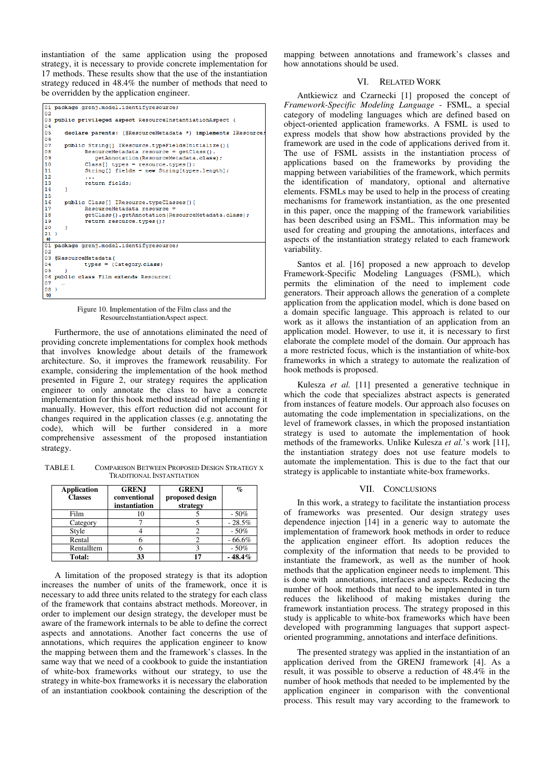instantiation of the same application using the proposed strategy, it is necessary to provide concrete implementation for 17 methods. These results show that the use of the instantiation strategy reduced in 48.4% the number of methods that need to be overridden by the application engineer.

```
01 package grenj.model.identifyresource;
03 public privileged aspect ResourceInstantiationAspect {
0405
          declare parents: (@ResourceMetadata *) implements IResource
0607public String[] IResource.typeFieldsInitialize(){
                    {\small \begin{tabular}{l} \textbf{ResourceMethod} \textbf{R} = \textbf{sequence} = \textbf{getClass();} \\ \textbf{getClass();} \\ \textbf{Q} = \textbf{Random(akesedated:class);} \\ \textbf{Class[] type} = \textbf{resource} = \textbf{type();} \\ \textbf{String[] fields} = \textbf{new String(types.length);} \end{tabular} }08
0910
111\overline{12}return fields:
13
14\overline{\mathbf{3}}15
\frac{16}{17}public Class[] IResource.typeClasses(){
                    ResourceMetadata resource
                    qetClass().getAnnotation(ResourceMetadata.class);<br>return resource.types();
18
\frac{1}{19}20
\frac{21}{a}\overline{\phantom{a}}01 package greni.model.identifyresource:
ns
03 @ResourceMetadata(
                    types = {Category.class}
04los
06 public class Film extends Resource{
07
08.3\mathbf{b}
```
Figure 10. Implementation of the Film class and the ResourceInstantiationAspect aspect.

Furthermore, the use of annotations eliminated the need of providing concrete implementations for complex hook methods that involves knowledge about details of the framework architecture. So, it improves the framework reusability. For example, considering the implementation of the hook method presented in Figure 2, our strategy requires the application engineer to only annotate the class to have a concrete implementation for this hook method instead of implementing it manually. However, this effort reduction did not account for changes required in the application classes (e.g. annotating the code), which will be further considered in a more comprehensive assessment of the proposed instantiation strategy.

TABLE I. COMPARISON BETWEEN PROPOSED DESIGN STRATEGY X TRADITIONAL INSTANTIATION

| <b>Application</b> | <b>GRENJ</b>                  | <b>GRENJ</b>                | $\%$     |
|--------------------|-------------------------------|-----------------------------|----------|
| <b>Classes</b>     | conventional<br>instantiation | proposed design<br>strategy |          |
| Film               |                               |                             | $-50%$   |
|                    |                               |                             |          |
| Category           |                               |                             | $-28.5%$ |
| Style              |                               |                             | $-50%$   |
| Rental             |                               |                             | $-66.6%$ |
| RentalItem         |                               |                             | $-50%$   |
| Total:             | 33                            |                             |          |

A limitation of the proposed strategy is that its adoption increases the number of units of the framework, once it is necessary to add three units related to the strategy for each class of the framework that contains abstract methods. Moreover, in order to implement our design strategy, the developer must be aware of the framework internals to be able to define the correct aspects and annotations. Another fact concerns the use of annotations, which requires the application engineer to know the mapping between them and the framework's classes. In the same way that we need of a cookbook to guide the instantiation of white-box frameworks without our strategy, to use the strategy in white-box frameworks it is necessary the elaboration of an instantiation cookbook containing the description of the

mapping between annotations and framework's classes and how annotations should be used.

# VI. RELATED WORK

Antkiewicz and Czarnecki [1] proposed the concept of *Framework-Specific Modeling Language* - FSML, a special category of modeling languages which are defined based on object-oriented application frameworks. A FSML is used to express models that show how abstractions provided by the framework are used in the code of applications derived from it. The use of FSML assists in the instantiation process of applications based on the frameworks by providing the mapping between variabilities of the framework, which permits the identification of mandatory, optional and alternative elements. FSMLs may be used to help in the process of creating mechanisms for framework instantiation, as the one presented in this paper, once the mapping of the framework variabilities has been described using an FSML. This information may be used for creating and grouping the annotations, interfaces and aspects of the instantiation strategy related to each framework variability.

Santos et al. [16] proposed a new approach to develop Framework-Specific Modeling Languages (FSML), which permits the elimination of the need to implement code generators. Their approach allows the generation of a complete application from the application model, which is done based on a domain specific language. This approach is related to our work as it allows the instantiation of an application from an application model. However, to use it, it is necessary to first elaborate the complete model of the domain. Our approach has a more restricted focus, which is the instantiation of white-box frameworks in which a strategy to automate the realization of hook methods is proposed.

Kulesza *et al.* [11] presented a generative technique in which the code that specializes abstract aspects is generated from instances of feature models. Our approach also focuses on automating the code implementation in specializations, on the level of framework classes, in which the proposed instantiation strategy is used to automate the implementation of hook methods of the frameworks. Unlike Kulesza *et al.*'s work [11], the instantiation strategy does not use feature models to automate the implementation. This is due to the fact that our strategy is applicable to instantiate white-box frameworks.

# VII. CONCLUSIONS

In this work, a strategy to facilitate the instantiation process of frameworks was presented. Our design strategy uses dependence injection [14] in a generic way to automate the implementation of framework hook methods in order to reduce the application engineer effort. Its adoption reduces the complexity of the information that needs to be provided to instantiate the framework, as well as the number of hook methods that the application engineer needs to implement. This is done with annotations, interfaces and aspects. Reducing the number of hook methods that need to be implemented in turn reduces the likelihood of making mistakes during the framework instantiation process. The strategy proposed in this study is applicable to white-box frameworks which have been developed with programming languages that support aspectoriented programming, annotations and interface definitions.

The presented strategy was applied in the instantiation of an application derived from the GRENJ framework [4]. As a result, it was possible to observe a reduction of 48.4% in the number of hook methods that needed to be implemented by the application engineer in comparison with the conventional process. This result may vary according to the framework to